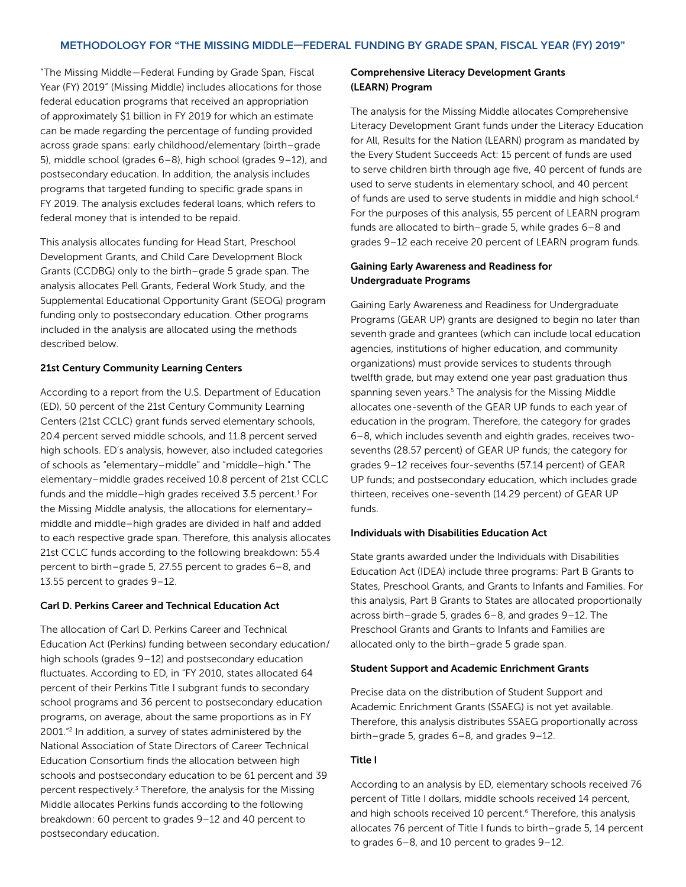"The Missing Middle—Federal Funding by Grade Span, Fiscal Year (FY) 2019" (Missing Middle) includes allocations for those federal education programs that received an appropriation of approximately \$1 billion in FY 2019 for which an estimate can be made regarding the percentage of funding provided across grade spans: early childhood/elementary (birth–grade 5), middle school (grades 6–8), high school (grades 9–12), and postsecondary education. In addition, the analysis includes programs that targeted funding to specific grade spans in FY 2019. The analysis excludes federal loans, which refers to federal money that is intended to be repaid.

This analysis allocates funding for Head Start, Preschool Development Grants, and Child Care Development Block Grants (CCDBG) only to the birth–grade 5 grade span. The analysis allocates Pell Grants, Federal Work Study, and the Supplemental Educational Opportunity Grant (SEOG) program funding only to postsecondary education. Other programs included in the analysis are allocated using the methods described below.

## 21st Century Community Learning Centers

According to a report from the U.S. Department of Education (ED), 50 percent of the 21st Century Community Learning Centers (21st CCLC) grant funds served elementary schools, 20.4 percent served middle schools, and 11.8 percent served high schools. ED's analysis, however, also included categories of schools as "elementary–middle" and "middle–high." The elementary–middle grades received 10.8 percent of 21st CCLC funds and the middle-high grades received 3.5 percent. $1$  For the Missing Middle analysis, the allocations for elementary– middle and middle–high grades are divided in half and added to each respective grade span. Therefore, this analysis allocates 21st CCLC funds according to the following breakdown: 55.4 percent to birth–grade 5, 27.55 percent to grades 6–8, and 13.55 percent to grades 9–12.

## Carl D. Perkins Career and Technical Education Act

The allocation of Carl D. Perkins Career and Technical Education Act (Perkins) funding between secondary education/ high schools (grades 9–12) and postsecondary education fluctuates. According to ED, in "FY 2010, states allocated 64 percent of their Perkins Title I subgrant funds to secondary school programs and 36 percent to postsecondary education programs, on average, about the same proportions as in FY 2001."2 In addition, a survey of states administered by the National Association of State Directors of Career Technical Education Consortium finds the allocation between high schools and postsecondary education to be 61 percent and 39 percent respectively.<sup>3</sup> Therefore, the analysis for the Missing Middle allocates Perkins funds according to the following breakdown: 60 percent to grades 9–12 and 40 percent to postsecondary education.

## Comprehensive Literacy Development Grants (LEARN) Program

The analysis for the Missing Middle allocates Comprehensive Literacy Development Grant funds under the Literacy Education for All, Results for the Nation (LEARN) program as mandated by the Every Student Succeeds Act: 15 percent of funds are used to serve children birth through age five, 40 percent of funds are used to serve students in elementary school, and 40 percent of funds are used to serve students in middle and high school.4 For the purposes of this analysis, 55 percent of LEARN program funds are allocated to birth–grade 5, while grades 6–8 and grades 9–12 each receive 20 percent of LEARN program funds.

# Gaining Early Awareness and Readiness for Undergraduate Programs

Gaining Early Awareness and Readiness for Undergraduate Programs (GEAR UP) grants are designed to begin no later than seventh grade and grantees (which can include local education agencies, institutions of higher education, and community organizations) must provide services to students through twelfth grade, but may extend one year past graduation thus spanning seven years.<sup>5</sup> The analysis for the Missing Middle allocates one-seventh of the GEAR UP funds to each year of education in the program. Therefore, the category for grades 6–8, which includes seventh and eighth grades, receives twosevenths (28.57 percent) of GEAR UP funds; the category for grades 9–12 receives four-sevenths (57.14 percent) of GEAR UP funds; and postsecondary education, which includes grade thirteen, receives one-seventh (14.29 percent) of GEAR UP funds.

## Individuals with Disabilities Education Act

State grants awarded under the Individuals with Disabilities Education Act (IDEA) include three programs: Part B Grants to States, Preschool Grants, and Grants to Infants and Families. For this analysis, Part B Grants to States are allocated proportionally across birth–grade 5, grades 6–8, and grades 9–12. The Preschool Grants and Grants to Infants and Families are allocated only to the birth–grade 5 grade span.

### Student Support and Academic Enrichment Grants

Precise data on the distribution of Student Support and Academic Enrichment Grants (SSAEG) is not yet available. Therefore, this analysis distributes SSAEG proportionally across birth–grade 5, grades 6–8, and grades 9–12.

#### Title I

According to an analysis by ED, elementary schools received 76 percent of Title I dollars, middle schools received 14 percent, and high schools received 10 percent.<sup>6</sup> Therefore, this analysis allocates 76 percent of Title I funds to birth–grade 5, 14 percent to grades 6–8, and 10 percent to grades 9–12.